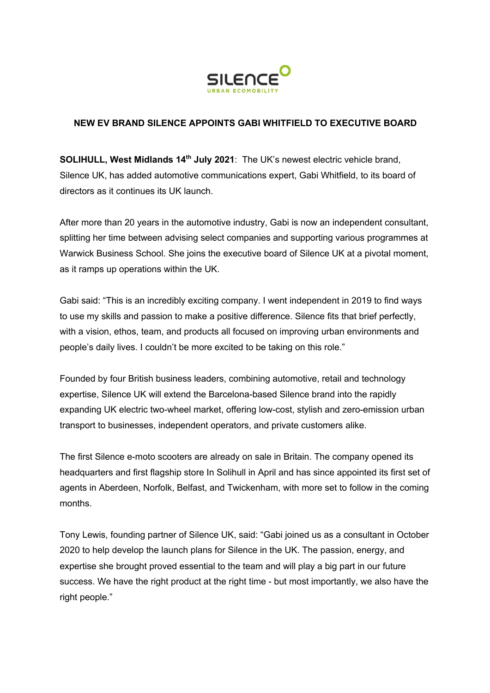

## **NEW EV BRAND SILENCE APPOINTS GABI WHITFIELD TO EXECUTIVE BOARD**

**SOLIHULL, West Midlands 14th July 2021**: The UK's newest electric vehicle brand, Silence UK, has added automotive communications expert, Gabi Whitfield, to its board of directors as it continues its UK launch.

After more than 20 years in the automotive industry, Gabi is now an independent consultant, splitting her time between advising select companies and supporting various programmes at Warwick Business School. She joins the executive board of Silence UK at a pivotal moment, as it ramps up operations within the UK.

Gabi said: "This is an incredibly exciting company. I went independent in 2019 to find ways to use my skills and passion to make a positive difference. Silence fits that brief perfectly, with a vision, ethos, team, and products all focused on improving urban environments and people's daily lives. I couldn't be more excited to be taking on this role."

Founded by four British business leaders, combining automotive, retail and technology expertise, Silence UK will extend the Barcelona-based Silence brand into the rapidly expanding UK electric two-wheel market, offering low-cost, stylish and zero-emission urban transport to businesses, independent operators, and private customers alike.

The first Silence e-moto scooters are already on sale in Britain. The company opened its headquarters and first flagship store In Solihull in April and has since appointed its first set of agents in Aberdeen, Norfolk, Belfast, and Twickenham, with more set to follow in the coming months.

Tony Lewis, founding partner of Silence UK, said: "Gabi joined us as a consultant in October 2020 to help develop the launch plans for Silence in the UK. The passion, energy, and expertise she brought proved essential to the team and will play a big part in our future success. We have the right product at the right time - but most importantly, we also have the right people."